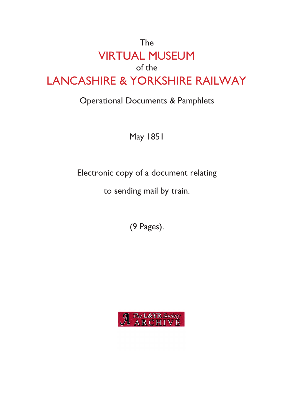# The VIRTUAL MUSEUM of the LANCASHIRE & YORKSHIRE RAILWAY

## Operational Documents & Pamphlets

May 1851

Electronic copy of a document relating

to sending mail by train.

(9 Pages).

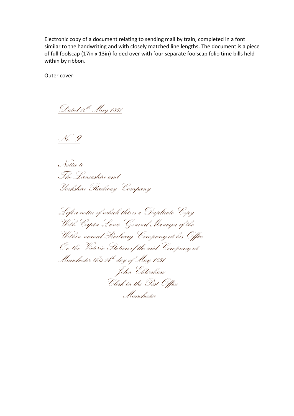Electronic copy of a document relating to sending mail by train, completed in a font similar to the handwriting and with closely matched line lengths. The document is a piece of full foolscap (17in x 13in) folded over with four separate foolscap folio time bills held within by ribbon.

Outer cover:

Dated 10th May 1851

No. 9

Notice to The Lancashire and Yorkshire Railway Company

Left a notice of which this is a Duplicate Copy With Captn Laws General Manager of the Within named Railway Company at his Office On the Victoria Station of the said Company at Manchester this 14th day of May 1851 John Eldershaw Clerk in the Post Office Manchester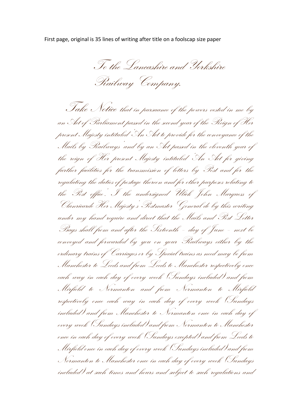First page, original is 35 lines of writing after title on a foolscap size paper

To the Lancashire and Yorkshire Railway Company.

 Take Notice that in pursuance of the powers vested in me by an Act of Parliament passed in the second year of the Reign of Her present Majesty intituled 'An Act to provide for the conveyance of the Mails by Railways' and by an Act passed in the eleventh year of the reign of Her present Majesty intituled 'An Act for giving further facilities for the transmission of letters by Post and for the regulating the duties of postage thereon and for other purposes relating to the Post office'. I the undersigned Ulick John Marquess of Clanricarde Her Majesty's Postmaster General do by this writing under my hand require and direct that the Mails and Post Letter Bags shall from and after the Sixteenth – day of June – next be conveyed and forwarded by you on your Railways either by the ordinary trains of Carriages or by Special trains as need may be from Manchester to Leeds and from Leeds to Manchester respectively once each way in each day of every week (Sundays included) and from Mirfield to Normanton and from Normanton to Mirfield respectively once each way in each day of every week (Sundays included) and from Manchester to Normanton once in each day of every week (Sundays included) and from Normanton to Manchester once in each day of every week (Sundays excepted) and from Leeds to Mirfield once in each day of every week (Sundays included) and from Normanton to Manchester once in each day of every week (Sundays included) at such times and hours and subject to such regulations and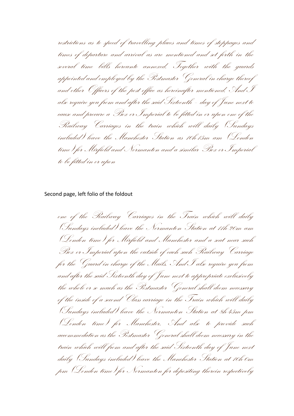restrictions as to speed of travelling places and times of stoppages and times of departure and arrival as are mentioned and set forth in the several time bills hereunto annexed. Together with the guards appointed and employed by the Postmaster General in charge thereof and other Officers of the post office as hereinafter mentioned. And I also require you from and after the said Sixteenth – day of June next to cause and procure a Box or Imperial to be fitted in or upon one of the Railway Carriages in the train which will daily (Sundays included) leave the Manchester Station as 10h-15m am (London time) for Mirfield and Normanton and a similar Box or Imperial to be fitted in or upon

Second page, left folio of the foldout

one of the Railway Carriages in the Train which will daily (Sundays included) leave the Normanton Station at 11h-20m am (London time) for Mirfield and Manchester and a seat near such Box or Imperial upon the outside of each such Railway Carriage for the Guard in charge of the Mails. And I also require you from and after the said Sixteenth day of June next to appropriate exclusively the whole or so much as the Postmaster General shall deem necessary of the inside of a second Class carriage in the Train which will daily (Sundays included) leave the Normanton Station at 8h-45m pm (London time) for Manchester. And also to provide such accommodation as the Postmaster General shall deem necessary in the train which will from and after the said Sixteenth day of June next daily (Sundays included) leave the Manchester Station at 10h-0m pm (London time) for Normanton for depositing therein respectively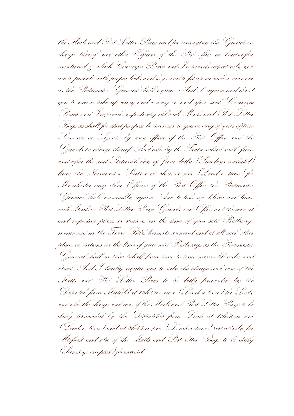the Mails and Post Letter Bags and for conveying the Guards in charge thereof and other Officers of the Post office as hereinafter mentioned & which Carriages Boxes and Imperials respectively you are to provide with proper locks and keys and to fit up in such a manner as the Postmaster General shall require. And I require and direct you to receive take up carry and convey in and upon such Carriages Boxes and Imperials respectively all such Mails and Post Letter Bags as shall for that purpose be tendered to you or any of your officers Servants or Agents by any officer of the Post Office and the Guards in charge thereof. And also by the Train which will from and after the said Sixteenth day of June daily (Sundays included) leave the Normanton Station at 8h-45m pm (London time) for Manchester any other Officers of the Post Office the Postmaster General shall reasonably require. And to take up deliver and leave such Mails or Post Letter Bags Guards and Officers at the several and respective places or stations on the lines of your said Railways mentioned in the Time Bills hereinto annexed and at all such other places or stations on the lines of your said Railways as the Postmaster General shall in that behalf from time to time reasonable order and direct. And I hereby require you to take the charge and care of the Mails and Post Letter Bags to be daily forwarded by the Dispatch from Mirfield at 12h-0m noon (London time) for Leeds, and also the charge and care of the Mails and Post Letter Bags to be daily forwarded by the Dispatches from Leeds at 11h-30m am (London time) and at 8h-45m pm (London time) respectively for Mirfield and also of the Mails and Post letter Bags to be daily (Sundays excepted) forwarded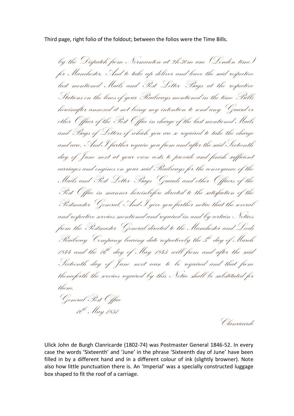Third page, right folio of the foldout; between the folios were the Time Bills.

by the Dispatch from Normanton at 2h-30m am (London time) for Manchester. And to take up deliver and leave the said respective last mentioned Mails and Post Letter Bags at the respective Stations on the lines of your Railways mentioned in the time Bills hereinafter annexed it not being my intention to send any Guard or other Officer of the Post Office in charge of the last mentioned Mails and Bags of Letters of which you are so required to take the charge and care. And I further require you from and after the said Sixteenth day of June next at your own costs to provide and finish sufficient carriages and engines on your said Railways for the conveyance of the Mails and Post Letter Bags Guards and other Officers of the Post Office in manner hereinbefore directed to the satisfaction of the Postmaster General. And I give you further notice that the several and respective services mentioned and required in and by certain Notices from the Postmaster General directed to the Manchester and Leeds Prailway Company bearing date respectively the 5<sup>th</sup> day of March 1844 and the 16<sup>th</sup> day of May 1845 will from and after the said Sixteenth day of June next cease to be required and that from thenceforth the services required by this Notice shall be substituted for them. General Post Office 10th May 1851

Clanricarde

Ulick John de Burgh Clanricarde (1802-74) was Postmaster General 1846-52. In every case the words 'Sixteenth' and 'June' in the phrase 'Sixteenth day of June' have been filled in by a different hand and in a different colour of ink (slightly browner). Note also how little punctuation there is. An 'Imperial' was a specially constructed luggage box shaped to fit the roof of a carriage.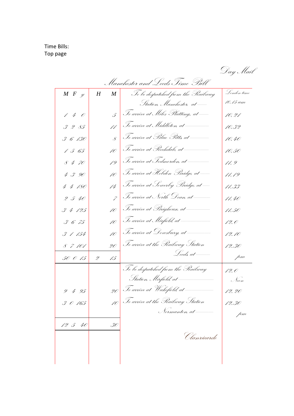Time Bills: Top page

Day Mail

|                     |   |             |                                                                                                   | Day Mai     |
|---------------------|---|-------------|---------------------------------------------------------------------------------------------------|-------------|
|                     |   |             | Manchester and Leeds Time Bill                                                                    |             |
| $M F_{\mathscr{Y}}$ | H | $M_{\odot}$ | To be despatched from the Pailway                                                                 | Lenden time |
|                     |   |             | Statien, Manchester, at ----                                                                      | 10.15 am    |
| 140                 |   |             | $\int_0^\infty$ Ic arrive at Miles Platting, at —                                                 | 10.21       |
| 3285                |   |             |                                                                                                   | 10.32       |
| 3 6 130             |   |             | $\overline{\mathcal{S}}$ $\overline{\mathcal{S}}$ o arrive at Blue Pitts, at $\rule{1em}{0.15mm}$ | 10.40       |
| 1565                |   |             |                                                                                                   | 10.50       |
| 8470                |   |             |                                                                                                   | 11.9        |
| 4 3 90              |   |             | 10 To arrive at Hebden Bridge, at -                                                               | 11.19       |
| 4 4 180             |   |             |                                                                                                   | 11.33       |
| 2540                |   |             | 7 Fo arrive at North Dean, at ——                                                                  | 11.40       |
| 34125               |   |             |                                                                                                   | 11.50       |
| 3675                |   |             |                                                                                                   | 12.0        |
| 3 1 154             |   |             |                                                                                                   | 12.10       |
| 8 7 101             |   | 20          | To arrive at the Plailway Station                                                                 | 12.30       |
| 50 0 15             | 2 | 15          |                                                                                                   | pm          |
|                     |   |             | Te be despatched frem the Pailway                                                                 | 12.0        |
|                     |   |             |                                                                                                   | Noon        |
| 9495                |   |             | 20 Te arrive at Wakefield, at ————                                                                | 12.20       |
| 30165               |   |             | 10 To arrive at the Railway Station                                                               | 12.30       |
|                     |   |             | Normanton, at —                                                                                   | pm          |
| 12 5 40             |   | 30          |                                                                                                   |             |
|                     |   |             | Clanricarde                                                                                       |             |
|                     |   |             |                                                                                                   |             |
|                     |   |             |                                                                                                   |             |
|                     |   |             |                                                                                                   |             |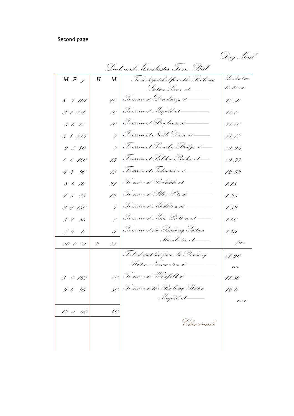### Second page

Day Mail

| Leeds and Manchester Time Bill |                 |                                                                                                                                                                                                                                                                                                                                                                                                                                                                                                      |             |  |  |  |
|--------------------------------|-----------------|------------------------------------------------------------------------------------------------------------------------------------------------------------------------------------------------------------------------------------------------------------------------------------------------------------------------------------------------------------------------------------------------------------------------------------------------------------------------------------------------------|-------------|--|--|--|
| $M \mid F \mid \mathcal{Y}$    | $H_{\parallel}$ | $\begin{array}{c c} M & \begin{array}{ c } \end{array} & \begin{array}{ c } \end{array} & \begin{array}{ c } \end{array} & \begin{array}{ c } \end{array} & \begin{array}{ c } \end{array} & \begin{array}{ c } \end{array} & \begin{array}{ c } \end{array} & \begin{array}{ c } \end{array} & \begin{array}{ c } \end{array} & \begin{array}{ c } \end{array} & \begin{array}{ c } \end{array} & \begin{array}{ c } \end{array} & \begin{array}{ c } \end{array} & \begin{array}{ c } \end{array}$ | Lenden time |  |  |  |
|                                |                 | Station Leeds at --                                                                                                                                                                                                                                                                                                                                                                                                                                                                                  | 11.30 am    |  |  |  |
| 8 7 101                        |                 | 20 Fe arrive at Dewsbury, at ———                                                                                                                                                                                                                                                                                                                                                                                                                                                                     | 11.50       |  |  |  |
| 3 1 154                        |                 | 10   Te arrive at Mirfield, at ______                                                                                                                                                                                                                                                                                                                                                                                                                                                                | 12.0        |  |  |  |
| 3675                           |                 |                                                                                                                                                                                                                                                                                                                                                                                                                                                                                                      | 12.10       |  |  |  |
| 34125                          |                 | $\sigma$ $\sqrt{\sigma}$ arrive at North Dean, at ——                                                                                                                                                                                                                                                                                                                                                                                                                                                 | 12.17       |  |  |  |
| 2540                           |                 | $\gamma$ Ic arrive at Sewerby Bridge, at —                                                                                                                                                                                                                                                                                                                                                                                                                                                           | 12.24       |  |  |  |
| 4 4 180                        |                 | 13 Te arrive at Hebden Bridge, at -                                                                                                                                                                                                                                                                                                                                                                                                                                                                  | 12.37       |  |  |  |
| 430                            |                 |                                                                                                                                                                                                                                                                                                                                                                                                                                                                                                      | 12.52       |  |  |  |
| 8470                           |                 | 21 Te arrive at Picchdale at _____                                                                                                                                                                                                                                                                                                                                                                                                                                                                   | 1.13        |  |  |  |
| 1565                           |                 | 12 $\Big $ Te arrive at Blue Pits at $-$                                                                                                                                                                                                                                                                                                                                                                                                                                                             | 1. 25       |  |  |  |
| 3 6 130                        |                 | $\gamma$ $\sqrt{3}$ o arrive at Middleton, at $\frac{1}{\sqrt{3}}$                                                                                                                                                                                                                                                                                                                                                                                                                                   | 1.32        |  |  |  |
| 3285                           |                 | $\overline{\mathcal{S}}$ $\overline{\mathcal{I}}$ c arrive at Miles Platting at -                                                                                                                                                                                                                                                                                                                                                                                                                    | 1.40        |  |  |  |
| 140                            |                 | $\int_{\mathcal{S}} \left  \mathcal{J}_c\right.$ arrive at the Plailway Station                                                                                                                                                                                                                                                                                                                                                                                                                      | 1.45        |  |  |  |
| 50 0 15                        | $\mathscr{Z}$   | 15 Manchester, at —                                                                                                                                                                                                                                                                                                                                                                                                                                                                                  | pm          |  |  |  |
|                                |                 | To be despatched from the Plailway                                                                                                                                                                                                                                                                                                                                                                                                                                                                   | 11.20       |  |  |  |
|                                |                 | Statien, Nermanten, at ————                                                                                                                                                                                                                                                                                                                                                                                                                                                                          | am          |  |  |  |
| $3$ 0 165                      |                 |                                                                                                                                                                                                                                                                                                                                                                                                                                                                                                      | 11.30       |  |  |  |
| 9495                           |                 | 30 Te arrive at the Pailway Statien                                                                                                                                                                                                                                                                                                                                                                                                                                                                  | 12.0        |  |  |  |
|                                |                 | Mirfield, at ____                                                                                                                                                                                                                                                                                                                                                                                                                                                                                    | ncon        |  |  |  |
| 12 5 40                        | 40              |                                                                                                                                                                                                                                                                                                                                                                                                                                                                                                      |             |  |  |  |
|                                |                 | Clanricarde                                                                                                                                                                                                                                                                                                                                                                                                                                                                                          |             |  |  |  |
|                                |                 |                                                                                                                                                                                                                                                                                                                                                                                                                                                                                                      |             |  |  |  |
|                                |                 |                                                                                                                                                                                                                                                                                                                                                                                                                                                                                                      |             |  |  |  |
|                                |                 |                                                                                                                                                                                                                                                                                                                                                                                                                                                                                                      |             |  |  |  |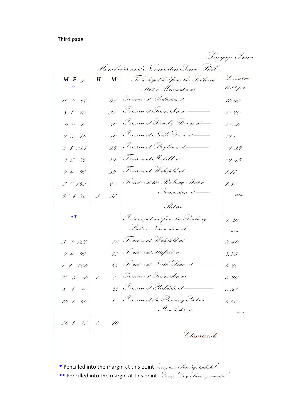### Third page

| Manchester and Normanton Time Bill                                                                  |                          |                                                                      |             |  |  |
|-----------------------------------------------------------------------------------------------------|--------------------------|----------------------------------------------------------------------|-------------|--|--|
| $\begin{array}{cc} M & F & y \\ & * & \\ \end{array}$                                               | $H_{\parallel}$          | M   To be despatched from the Plailway                               | Lenden time |  |  |
|                                                                                                     |                          | Statien Manchester, at ----                                          | 10.00 pm    |  |  |
| 10 2 60                                                                                             |                          | 48 $\Big $ Te arrive at Prechdale, at ———                            | 10.40       |  |  |
| $8470$                                                                                              |                          | 32 To arrive at Tedmorden, at ————                                   | 11.20       |  |  |
| 9050                                                                                                | $30\vert$                | To arrive at Sowerby Bridge, at—                                     | 11.50       |  |  |
| 2540                                                                                                | 10                       | To arrive at North Dean, at ———                                      | 12.0        |  |  |
| 3 4 125                                                                                             | 23                       | Te arrive at Brigheuse, at ———                                       | 12.23       |  |  |
| 3675                                                                                                | $\overline{\mathcal{Z}}$ | Te arrive at Mirfield, at ————                                       | 12.45       |  |  |
| 9495                                                                                                | 32                       | Te arrive at Wakefield, at ————                                      | 1.17        |  |  |
| 3 0 165                                                                                             | 20                       | To arrive at the Plailway Station                                    | 1.37        |  |  |
| 50 4 20                                                                                             | $\mathscr{S}$            | 97 Normanten, at —<br>Return                                         | am          |  |  |
|                                                                                                     |                          |                                                                      |             |  |  |
| $**$                                                                                                |                          | To be despatched from the Plailway                                   | 2.30        |  |  |
|                                                                                                     |                          | Statien, Nermanten at <del>_______</del>                             | am          |  |  |
| 30165                                                                                               |                          |                                                                      | 2.40        |  |  |
| 9495                                                                                                |                          |                                                                      | 3.35        |  |  |
| 7 2 200                                                                                             |                          |                                                                      | 4.20        |  |  |
| $11\,$ 5 90                                                                                         |                          | $\sigma$   To arrive at Tedmorden, at ————                           | 5.20        |  |  |
| 8470                                                                                                |                          | 33 To arrive at Rochdale, at -                                       | 5.53        |  |  |
| 10 2                                                                                                |                          | 47 To arrive at the Pailway Station                                  | 6.40        |  |  |
|                                                                                                     |                          |                                                                      |             |  |  |
| 50 4 20                                                                                             | 4<br>10                  |                                                                      |             |  |  |
|                                                                                                     |                          | Clanricarde                                                          |             |  |  |
|                                                                                                     |                          |                                                                      |             |  |  |
|                                                                                                     |                          |                                                                      |             |  |  |
|                                                                                                     |                          | * Pencilled into the margin at this point every day Sundays included |             |  |  |
| ** Pencilled into the margin at this point $\mathscr{C}_{very}$ $\mathscr{D}_{ay}$ Sundays excepted |                          |                                                                      |             |  |  |

Luggage Train